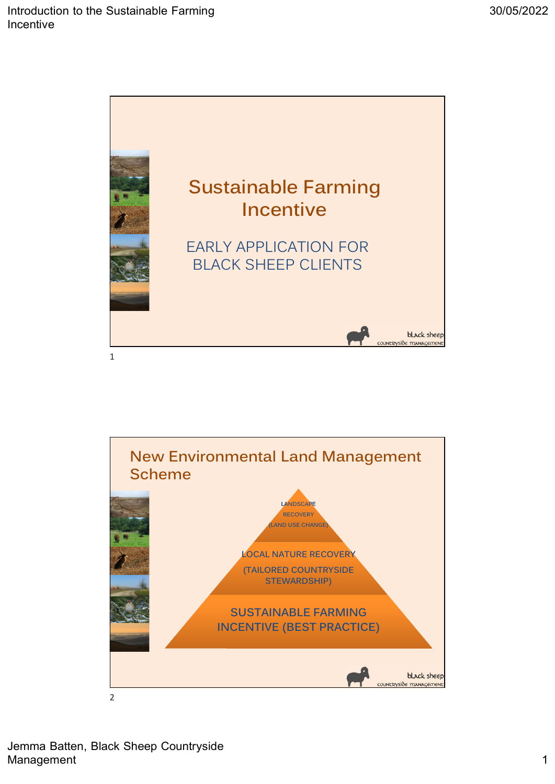



Jemma Batten, Black Sheep Countryside Management 2008 and 2008 and 2008 and 2008 and 2008 and 2008 and 2008 and 2008 and 2008 and 2008 and 2008 and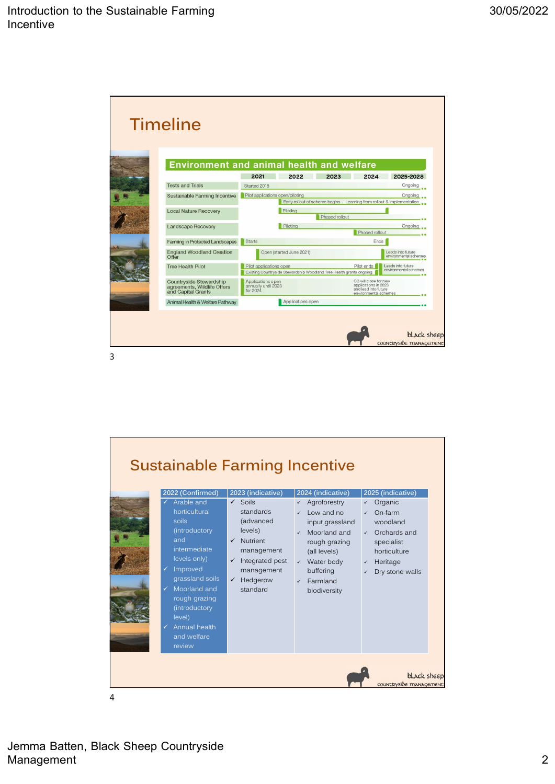|  | Environment and animal health and welfare                                    | 2021                                                 | 2022                           | 2023                                                                 | 2024                                                                                           | 2025-2028                                         |
|--|------------------------------------------------------------------------------|------------------------------------------------------|--------------------------------|----------------------------------------------------------------------|------------------------------------------------------------------------------------------------|---------------------------------------------------|
|  | <b>Tests and Trials</b>                                                      | Started 2018                                         |                                |                                                                      |                                                                                                | Ongoing                                           |
|  | Sustainable Farming Incentive                                                | Pilot applications open/piloting                     | Early rollout of scheme begins |                                                                      |                                                                                                | Ongoing<br>Learning from rollout & implementation |
|  | <b>Local Nature Recovery</b>                                                 |                                                      | Piloting                       | Phased rollout                                                       |                                                                                                |                                                   |
|  | Landscape Recovery                                                           |                                                      | Piloting                       |                                                                      |                                                                                                | Onaoina                                           |
|  |                                                                              |                                                      |                                |                                                                      | Phased rollout                                                                                 |                                                   |
|  | Farming in Protected Landscapes                                              | <b>Starts</b>                                        |                                |                                                                      | Ends <sup>1</sup>                                                                              |                                                   |
|  | <b>England Woodland Creation</b><br>Offer                                    |                                                      | Open (started June 2021)       |                                                                      |                                                                                                | Leads into future<br>environmental schemes        |
|  | <b>Tree Health Pilot</b>                                                     | Pilot applications open                              |                                | Existing Countryside Stewardship Woodland Tree Health grants ongoing | Pilot ends                                                                                     | Leads into future<br>environmental schemes        |
|  | Countryside Stewardship<br>agreements, Wildlife Offers<br>and Capital Grants | Applications open<br>annually until 2023<br>for 2024 |                                |                                                                      | CS will close for new<br>applications in 2023<br>and lead into future<br>environmental schemes |                                                   |
|  | Animal Health & Welfare Pathway                                              |                                                      | Applications open              |                                                                      |                                                                                                |                                                   |



Jemma Batten, Black Sheep Countryside Management 2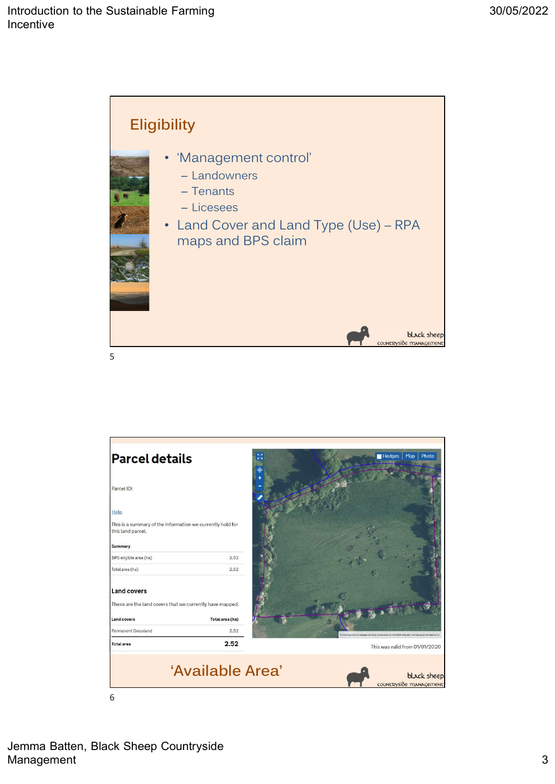



Jemma Batten, Black Sheep Countryside Management 3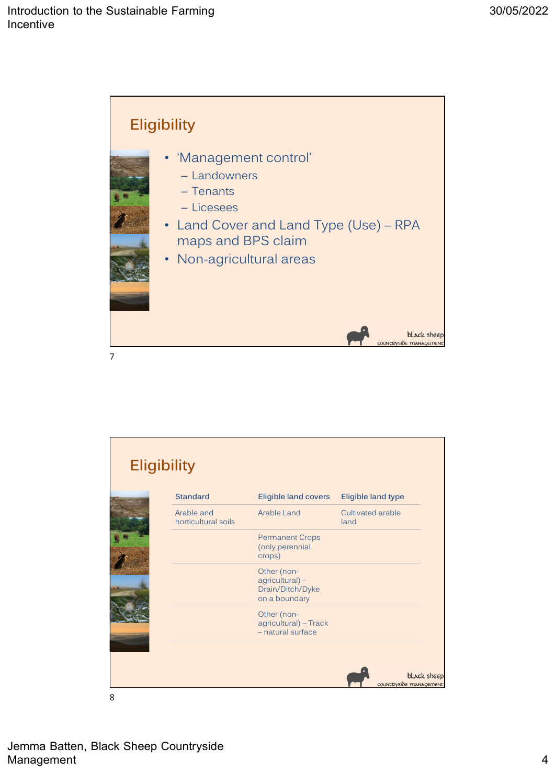

|                |                                   |                                                                        |                           | black sheep |
|----------------|-----------------------------------|------------------------------------------------------------------------|---------------------------|-------------|
| $\overline{7}$ |                                   |                                                                        | countryside management    |             |
|                |                                   |                                                                        |                           |             |
|                |                                   |                                                                        |                           |             |
|                |                                   |                                                                        |                           |             |
|                |                                   |                                                                        |                           |             |
|                | <b>Eligibility</b>                |                                                                        |                           |             |
|                | <b>Standard</b>                   | <b>Eligible land covers</b>                                            | Eligible land type        |             |
|                | Arable and<br>horticultural soils | Arable Land                                                            | Cultivated arable<br>land |             |
|                |                                   | <b>Permanent Crops</b><br>(only perennial<br>crops)                    |                           |             |
|                |                                   | Other (non-<br>$agricultural$ ) –<br>Drain/Ditch/Dyke<br>on a boundary |                           |             |
|                |                                   | Other (non-<br>agricultural) - Track<br>- natural surface              |                           |             |
|                |                                   |                                                                        |                           | black sheep |
|                |                                   |                                                                        |                           |             |
|                |                                   |                                                                        | countryside management    |             |
| 8              |                                   |                                                                        |                           |             |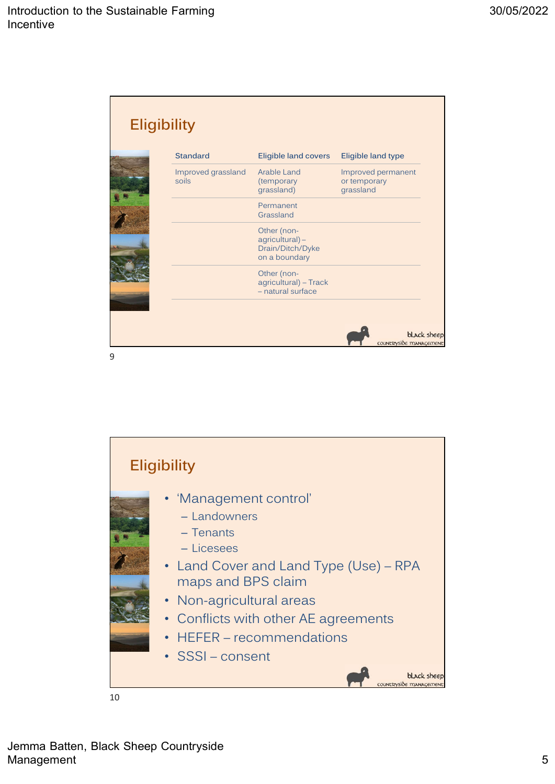| Sustainable Farming         |                                                                        |                                                 |             |
|-----------------------------|------------------------------------------------------------------------|-------------------------------------------------|-------------|
|                             |                                                                        |                                                 |             |
|                             |                                                                        |                                                 |             |
|                             |                                                                        |                                                 |             |
| <b>Eligibility</b>          |                                                                        |                                                 |             |
| <b>Standard</b>             | <b>Eligible land covers</b>                                            | Eligible land type                              |             |
| Improved grassland<br>soils | Arable Land<br>(temporary<br>grassland)                                | Improved permanent<br>or temporary<br>grassland |             |
|                             | Permanent<br>Grassland                                                 |                                                 |             |
|                             | Other (non-<br>$agricultural$ ) –<br>Drain/Ditch/Dyke<br>on a boundary |                                                 |             |
|                             | Other (non-<br>agricultural) - Track<br>- natural surface              |                                                 |             |
|                             |                                                                        |                                                 |             |
|                             |                                                                        |                                                 | black sheep |

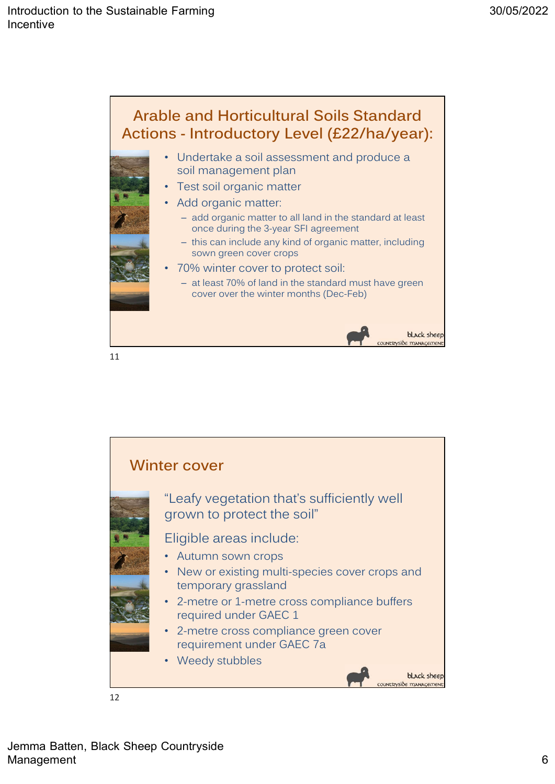

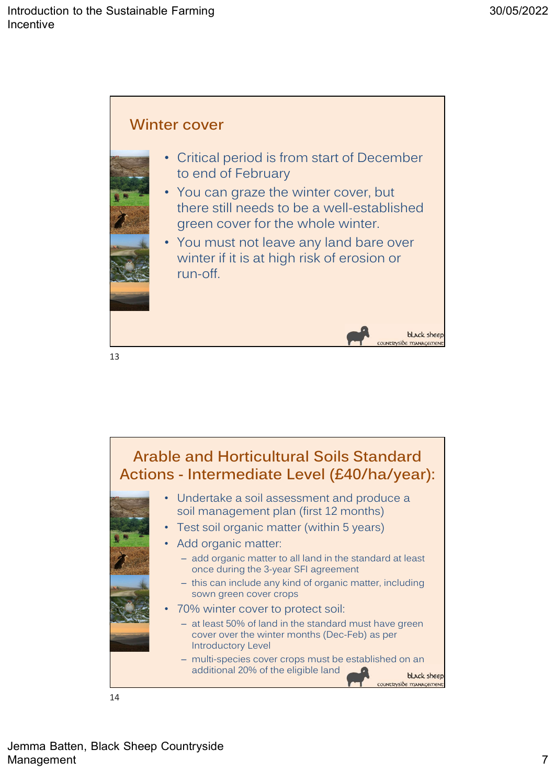



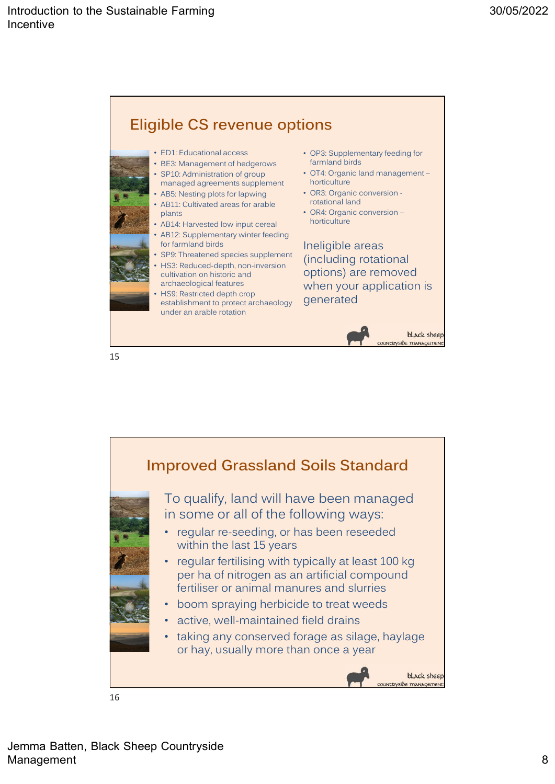

Improved Grassland Soils Standard To qualify, land will have been managed in some or all of the following ways: • regular re-seeding, or has been reseeded within the last 15 years • regular fertilising with typically at least 100 kg per ha of nitrogen as an artificial compound fertiliser or animal manures and slurries • boom spraying herbicide to treat weeds • active, well-maintained field drains • taking any conserved forage as silage, haylage or hay, usually more than once a year black sheep  $i\delta e$  manaced 16

Jemma Batten, Black Sheep Countryside Management 8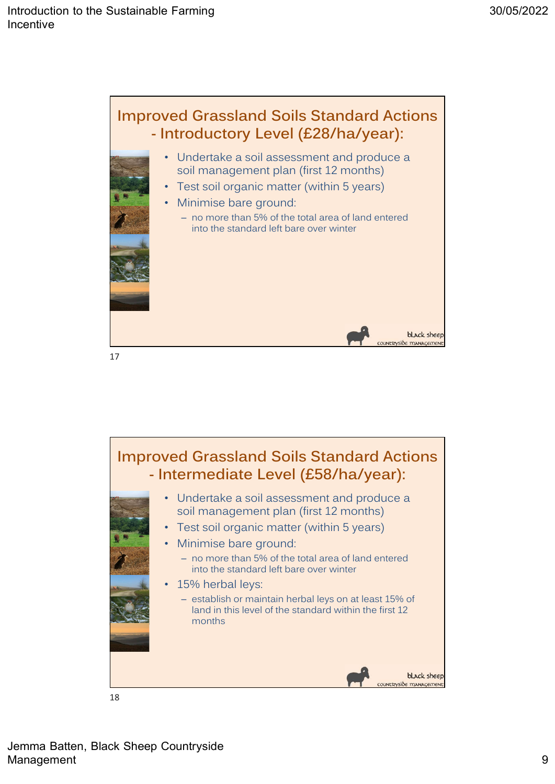

France Controllers (ESS)<br>
- Intermediate Level (E58/ha/year):<br>
- Undertake a soil assessment and produce a<br>
soil management plan (first 12 months)<br>
- Test soil organic matter (within 5 years)<br>
- Minimise bare ground:<br>
- no Improved Grassland Soils Standard Actions soil management plan (first 12 months) • Test soil organic matter (within 5 years) • Minimise bare ground: – no more than 5% of the total area of land entered into the standard left bare over winter 15% herbal leys: – establish or maintain herbal leys on at least 15% of land in this level of the standard within the first 12 months black sheep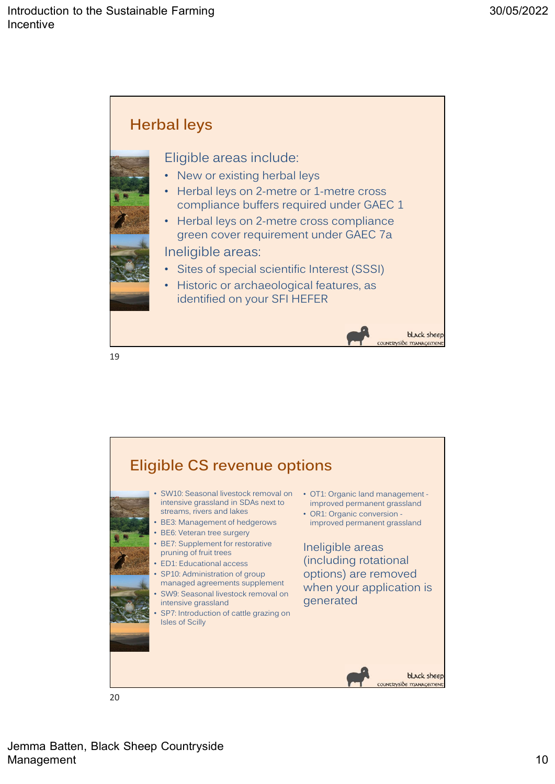



Jemma Batten, Black Sheep Countryside Management 2008 and 2008 and 2008 and 2008 and 2008 and 2008 and 2008 and 2008 and 2008 and 2008 and 2008 and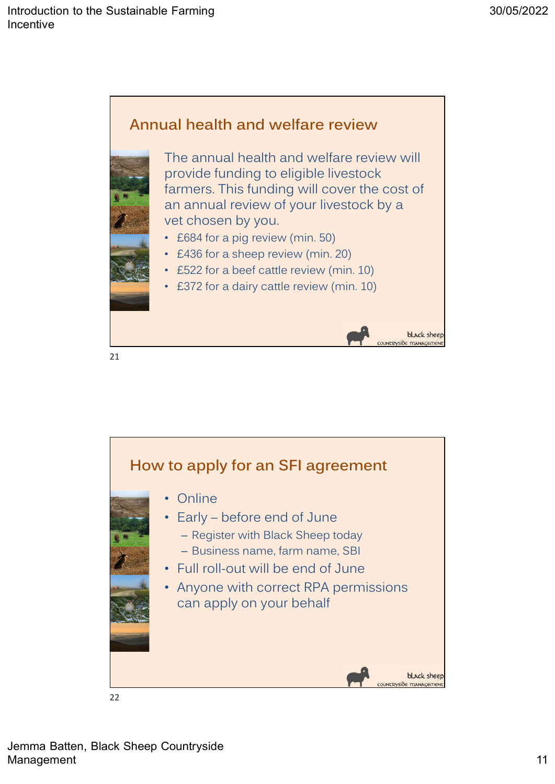



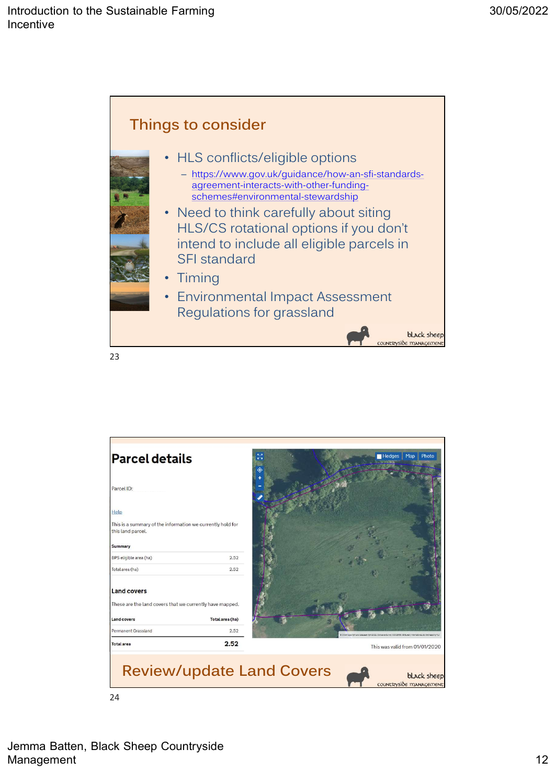